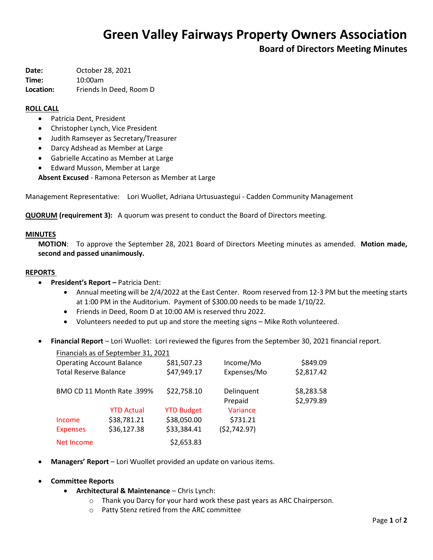# **Green Valley Fairways Property Owners Association**

**Board of Directors Meeting Minutes**

**Date:** October 28, 2021 **Time:** 10:00am **Location:** Friends In Deed, Room D

### **ROLL CALL**

- Patricia Dent, President
- Christopher Lynch, Vice President
- Judith Ramseyer as Secretary/Treasurer
- Darcy Adshead as Member at Large
- Gabrielle Accatino as Member at Large
- Edward Musson, Member at Large

**Absent Excused** - Ramona Peterson as Member at Large

Management Representative: Lori Wuollet, Adriana Urtusuastegui - Cadden Community Management

**QUORUM (requirement 3):** A quorum was present to conduct the Board of Directors meeting.

#### **MINUTES**

**MOTION**: To approve the September 28, 2021 Board of Directors Meeting minutes as amended. **Motion made, second and passed unanimously.**

#### **REPORTS**

- **President's Report –** Patricia Dent:
	- Annual meeting will be 2/4/2022 at the East Center. Room reserved from 12-3 PM but the meeting starts at 1:00 PM in the Auditorium. Payment of \$300.00 needs to be made 1/10/22.
	- Friends in Deed, Room D at 10:00 AM is reserved thru 2022.
	- Volunteers needed to put up and store the meeting signs Mike Roth volunteered.
- **Financial Report** Lori Wuollet: Lori reviewed the figures from the September 30, 2021 financial report.

|                                  | Financials as of September 31, 2021 |                   |                       |                          |
|----------------------------------|-------------------------------------|-------------------|-----------------------|--------------------------|
| <b>Operating Account Balance</b> |                                     | \$81,507.23       | Income/Mo             | \$849.09                 |
| <b>Total Reserve Balance</b>     |                                     | \$47,949.17       | Expenses/Mo           | \$2,817.42               |
| BMO CD 11 Month Rate .399%       |                                     | \$22,758.10       | Delinquent<br>Prepaid | \$8,283.58<br>\$2,979.89 |
|                                  | <b>YTD Actual</b>                   | <b>YTD Budget</b> | Variance              |                          |
| Income                           | \$38,781.21                         | \$38,050.00       | \$731.21              |                          |
| <b>Expenses</b>                  | \$36,127.38                         | \$33,384.41       | (52, 742.97)          |                          |
| Net Income                       |                                     | \$2,653.83        |                       |                          |

**Managers' Report** – Lori Wuollet provided an update on various items.

### **Committee Reports**

- **Architectural & Maintenance** Chris Lynch:
	- o Thank you Darcy for your hard work these past years as ARC Chairperson.
	- o Patty Stenz retired from the ARC committee